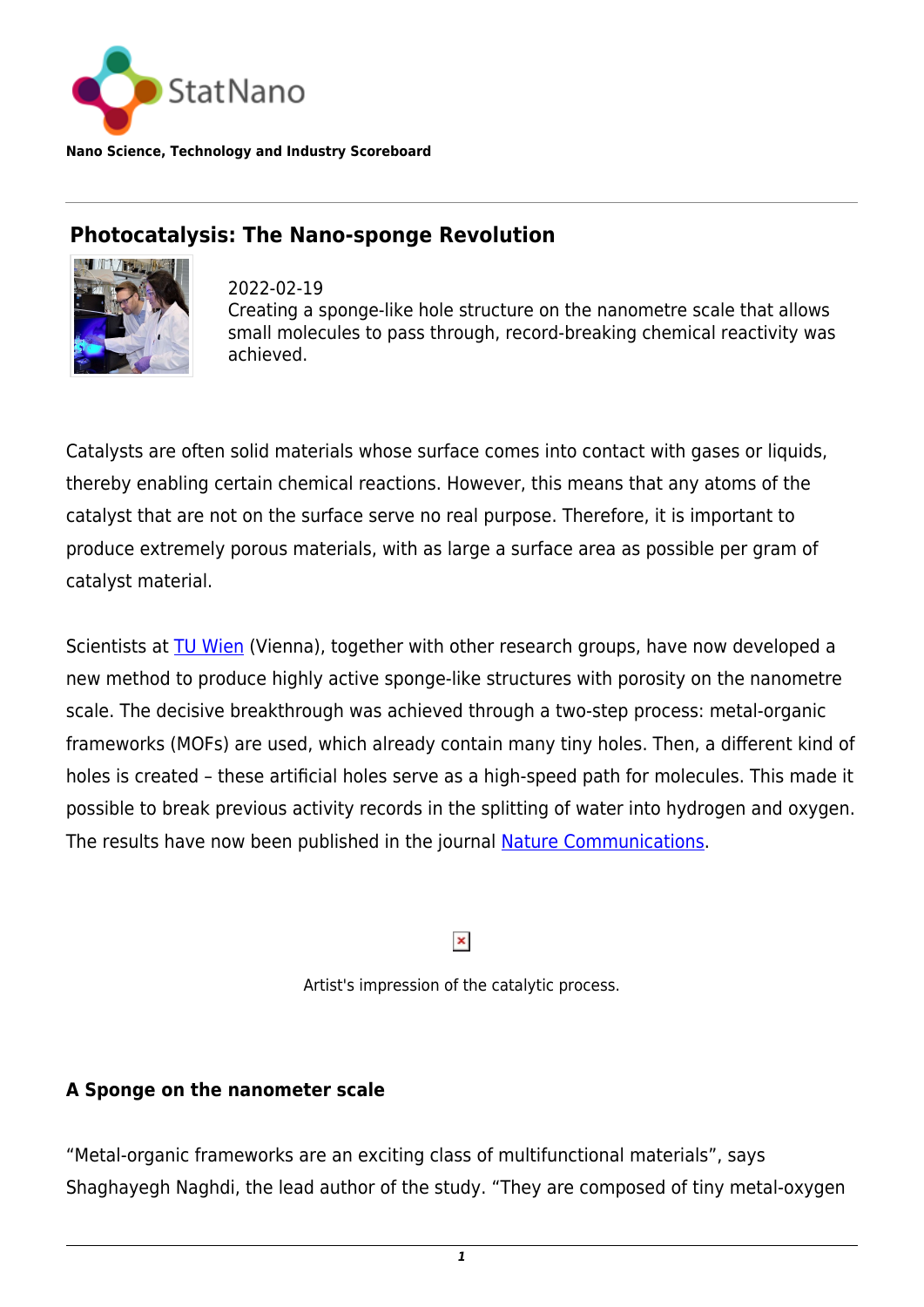

**Nano Science, Technology and Industry Scoreboard**

## **Photocatalysis: The Nano-sponge Revolution**



2022-02-19 Creating a sponge-like hole structure on the nanometre scale that allows small molecules to pass through, record-breaking chemical reactivity was achieved.

Catalysts are often solid materials whose surface comes into contact with gases or liquids, thereby enabling certain chemical reactions. However, this means that any atoms of the catalyst that are not on the surface serve no real purpose. Therefore, it is important to produce extremely porous materials, with as large a surface area as possible per gram of catalyst material.

Scientists at **TU Wien** (Vienna), together with other research groups, have now developed a new method to produce highly active sponge-like structures with porosity on the nanometre scale. The decisive breakthrough was achieved through a two-step process: metal-organic frameworks (MOFs) are used, which already contain many tiny holes. Then, a different kind of holes is created – these artificial holes serve as a high-speed path for molecules. This made it possible to break previous activity records in the splitting of water into hydrogen and oxygen. The results have now been published in the journal **Nature Communications**.

 $\pmb{\times}$ 

Artist's impression of the catalytic process.

## **A Sponge on the nanometer scale**

"Metal-organic frameworks are an exciting class of multifunctional materials", says Shaghayegh Naghdi, the lead author of the study. "They are composed of tiny metal-oxygen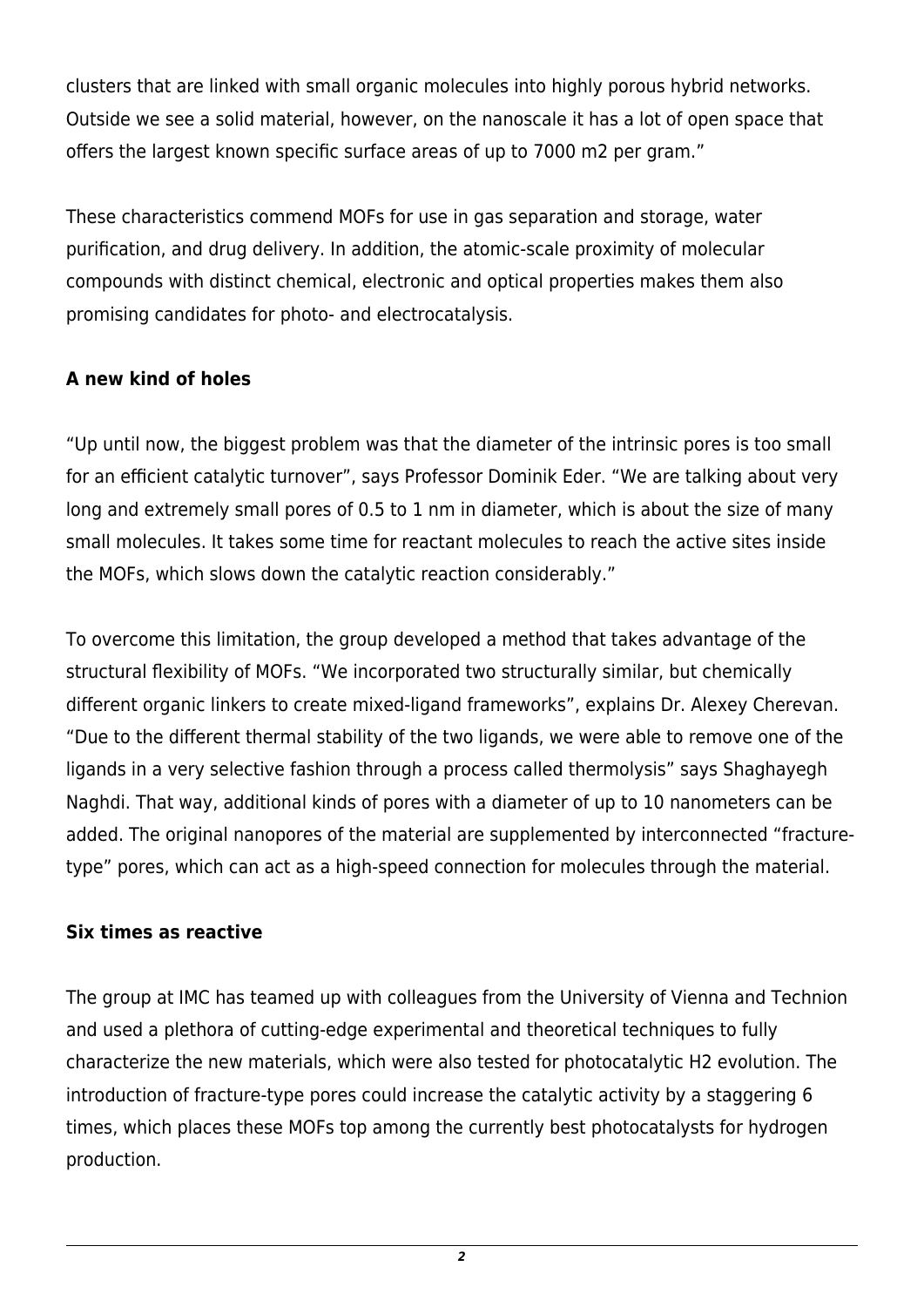clusters that are linked with small organic molecules into highly porous hybrid networks. Outside we see a solid material, however, on the nanoscale it has a lot of open space that offers the largest known specific surface areas of up to 7000 m2 per gram."

These characteristics commend MOFs for use in gas separation and storage, water purification, and drug delivery. In addition, the atomic-scale proximity of molecular compounds with distinct chemical, electronic and optical properties makes them also promising candidates for photo- and electrocatalysis.

## **A new kind of holes**

"Up until now, the biggest problem was that the diameter of the intrinsic pores is too small for an efficient catalytic turnover", says Professor Dominik Eder. "We are talking about very long and extremely small pores of 0.5 to 1 nm in diameter, which is about the size of many small molecules. It takes some time for reactant molecules to reach the active sites inside the MOFs, which slows down the catalytic reaction considerably."

To overcome this limitation, the group developed a method that takes advantage of the structural flexibility of MOFs. "We incorporated two structurally similar, but chemically different organic linkers to create mixed-ligand frameworks", explains Dr. Alexey Cherevan. "Due to the different thermal stability of the two ligands, we were able to remove one of the ligands in a very selective fashion through a process called thermolysis" says Shaghayegh Naghdi. That way, additional kinds of pores with a diameter of up to 10 nanometers can be added. The original nanopores of the material are supplemented by interconnected "fracturetype" pores, which can act as a high-speed connection for molecules through the material.

## **Six times as reactive**

The group at IMC has teamed up with colleagues from the University of Vienna and Technion and used a plethora of cutting-edge experimental and theoretical techniques to fully characterize the new materials, which were also tested for photocatalytic H2 evolution. The introduction of fracture-type pores could increase the catalytic activity by a staggering 6 times, which places these MOFs top among the currently best photocatalysts for hydrogen production.